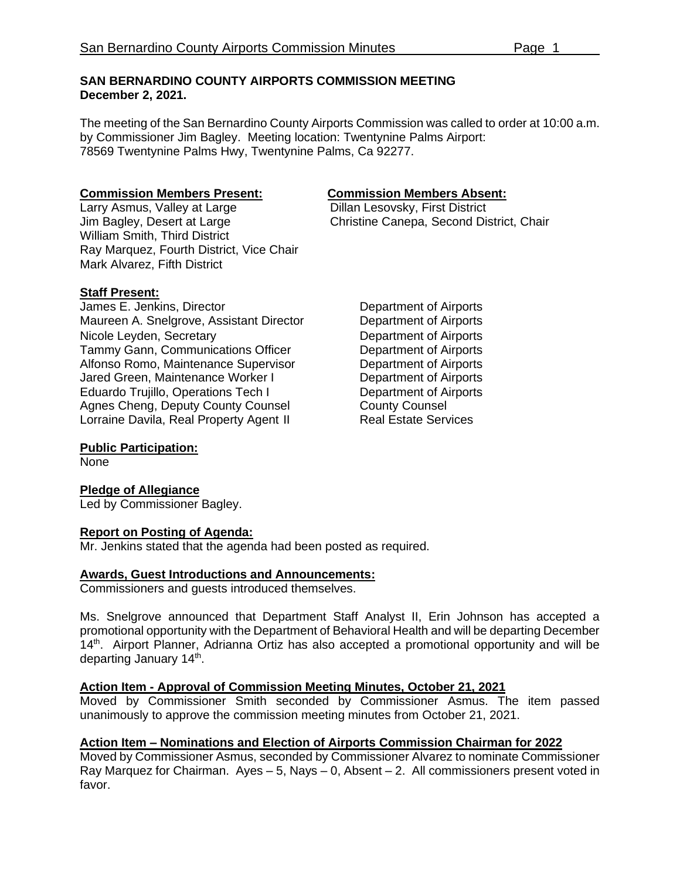#### **SAN BERNARDINO COUNTY AIRPORTS COMMISSION MEETING December 2, 2021.**

The meeting of the San Bernardino County Airports Commission was called to order at 10:00 a.m. by Commissioner Jim Bagley. Meeting location: Twentynine Palms Airport: 78569 Twentynine Palms Hwy, Twentynine Palms, Ca 92277.

Larry Asmus, Valley at Large<br>Jim Bagley, Desert at Large William Smith, Third District Ray Marquez, Fourth District, Vice Chair Mark Alvarez, Fifth District

#### **Staff Present:**

James E. Jenkins, Director **Department of Airports** Maureen A. Snelgrove, Assistant Director **Department of Airports** Nicole Leyden, Secretary<br>
Tammy Gann, Communications Officer
Department of Airports Tammy Gann, Communications Officer **Department of Airports**<br>Alfonso Romo, Maintenance Supervisor **Department of Airports** Alfonso Romo, Maintenance Supervisor Jared Green, Maintenance Worker I Department of Airports Eduardo Trujillo, Operations Tech I Department of Airports Agnes Cheng, Deputy County Counsel County Counsel Lorraine Davila, Real Property Agent II Real Estate Services

# **Commission Members Present:**<br>
Larry Asmus, Valley at Large **Dillan Lesovsky, First District**

Christine Canepa, Second District, Chair

#### **Public Participation:**

None

#### **Pledge of Allegiance**

Led by Commissioner Bagley.

#### **Report on Posting of Agenda:**

Mr. Jenkins stated that the agenda had been posted as required.

#### **Awards, Guest Introductions and Announcements:**

Commissioners and guests introduced themselves.

Ms. Snelgrove announced that Department Staff Analyst II, Erin Johnson has accepted a promotional opportunity with the Department of Behavioral Health and will be departing December 14<sup>th</sup>. Airport Planner, Adrianna Ortiz has also accepted a promotional opportunity and will be departing January 14<sup>th</sup>.

#### **Action Item - Approval of Commission Meeting Minutes, October 21, 2021**

Moved by Commissioner Smith seconded by Commissioner Asmus. The item passed unanimously to approve the commission meeting minutes from October 21, 2021.

#### **Action Item – Nominations and Election of Airports Commission Chairman for 2022**

Moved by Commissioner Asmus, seconded by Commissioner Alvarez to nominate Commissioner Ray Marquez for Chairman. Ayes – 5, Nays – 0, Absent – 2. All commissioners present voted in favor.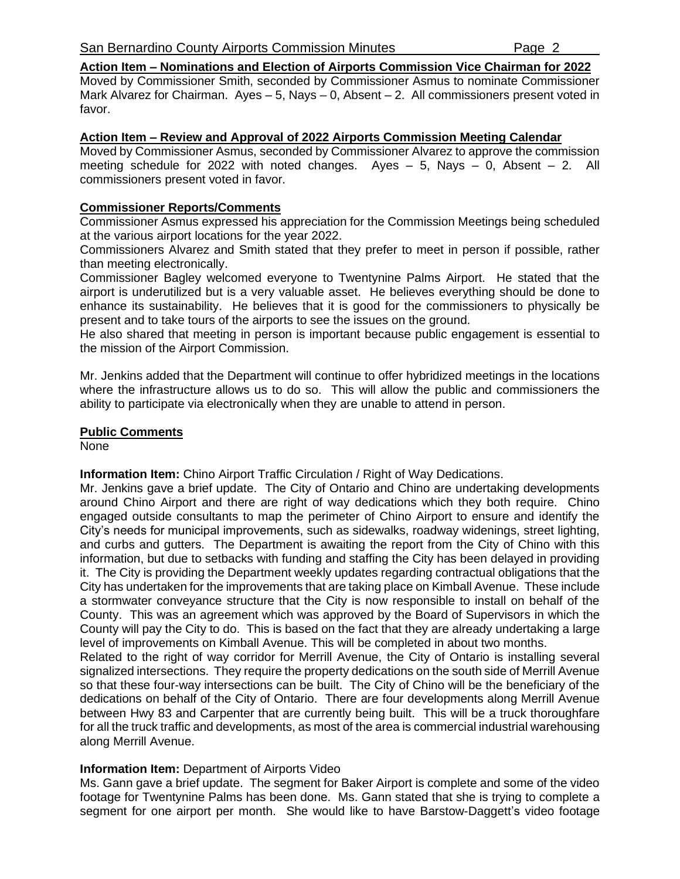**Action Item – Nominations and Election of Airports Commission Vice Chairman for 2022**

Moved by Commissioner Smith, seconded by Commissioner Asmus to nominate Commissioner Mark Alvarez for Chairman. Ayes – 5, Nays – 0, Absent – 2. All commissioners present voted in favor.

#### **Action Item – Review and Approval of 2022 Airports Commission Meeting Calendar**

Moved by Commissioner Asmus, seconded by Commissioner Alvarez to approve the commission meeting schedule for 2022 with noted changes. Ayes – 5, Nays – 0, Absent – 2. All commissioners present voted in favor.

#### **Commissioner Reports/Comments**

Commissioner Asmus expressed his appreciation for the Commission Meetings being scheduled at the various airport locations for the year 2022.

Commissioners Alvarez and Smith stated that they prefer to meet in person if possible, rather than meeting electronically.

Commissioner Bagley welcomed everyone to Twentynine Palms Airport. He stated that the airport is underutilized but is a very valuable asset. He believes everything should be done to enhance its sustainability. He believes that it is good for the commissioners to physically be present and to take tours of the airports to see the issues on the ground.

He also shared that meeting in person is important because public engagement is essential to the mission of the Airport Commission.

Mr. Jenkins added that the Department will continue to offer hybridized meetings in the locations where the infrastructure allows us to do so. This will allow the public and commissioners the ability to participate via electronically when they are unable to attend in person.

#### **Public Comments**

None

**Information Item:** Chino Airport Traffic Circulation / Right of Way Dedications.

Mr. Jenkins gave a brief update. The City of Ontario and Chino are undertaking developments around Chino Airport and there are right of way dedications which they both require. Chino engaged outside consultants to map the perimeter of Chino Airport to ensure and identify the City's needs for municipal improvements, such as sidewalks, roadway widenings, street lighting, and curbs and gutters. The Department is awaiting the report from the City of Chino with this information, but due to setbacks with funding and staffing the City has been delayed in providing it. The City is providing the Department weekly updates regarding contractual obligations that the City has undertaken for the improvements that are taking place on Kimball Avenue. These include a stormwater conveyance structure that the City is now responsible to install on behalf of the County. This was an agreement which was approved by the Board of Supervisors in which the County will pay the City to do. This is based on the fact that they are already undertaking a large level of improvements on Kimball Avenue. This will be completed in about two months.

Related to the right of way corridor for Merrill Avenue, the City of Ontario is installing several signalized intersections. They require the property dedications on the south side of Merrill Avenue so that these four-way intersections can be built. The City of Chino will be the beneficiary of the dedications on behalf of the City of Ontario. There are four developments along Merrill Avenue between Hwy 83 and Carpenter that are currently being built. This will be a truck thoroughfare for all the truck traffic and developments, as most of the area is commercial industrial warehousing along Merrill Avenue.

#### **Information Item:** Department of Airports Video

Ms. Gann gave a brief update. The segment for Baker Airport is complete and some of the video footage for Twentynine Palms has been done. Ms. Gann stated that she is trying to complete a segment for one airport per month. She would like to have Barstow-Daggett's video footage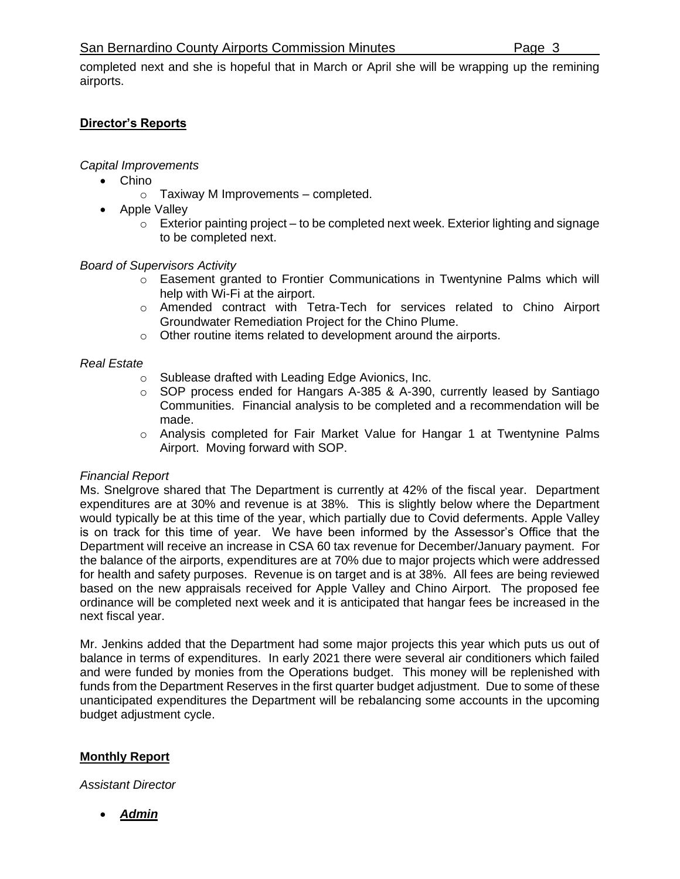### San Bernardino County Airports Commission Minutes **Page 3**

completed next and she is hopeful that in March or April she will be wrapping up the remining airports.

# **Director's Reports**

# *Capital Improvements*

- Chino
	- o Taxiway M Improvements completed.
- Apple Valley
	- $\circ$  Exterior painting project to be completed next week. Exterior lighting and signage to be completed next.

# *Board of Supervisors Activity*

- o Easement granted to Frontier Communications in Twentynine Palms which will help with Wi-Fi at the airport.
- o Amended contract with Tetra-Tech for services related to Chino Airport Groundwater Remediation Project for the Chino Plume.
- o Other routine items related to development around the airports.

# *Real Estate*

- o Sublease drafted with Leading Edge Avionics, Inc.
- o SOP process ended for Hangars A-385 & A-390, currently leased by Santiago Communities. Financial analysis to be completed and a recommendation will be made.
- o Analysis completed for Fair Market Value for Hangar 1 at Twentynine Palms Airport. Moving forward with SOP.

## *Financial Report*

Ms. Snelgrove shared that The Department is currently at 42% of the fiscal year. Department expenditures are at 30% and revenue is at 38%. This is slightly below where the Department would typically be at this time of the year, which partially due to Covid deferments. Apple Valley is on track for this time of year. We have been informed by the Assessor's Office that the Department will receive an increase in CSA 60 tax revenue for December/January payment. For the balance of the airports, expenditures are at 70% due to major projects which were addressed for health and safety purposes. Revenue is on target and is at 38%. All fees are being reviewed based on the new appraisals received for Apple Valley and Chino Airport. The proposed fee ordinance will be completed next week and it is anticipated that hangar fees be increased in the next fiscal year.

Mr. Jenkins added that the Department had some major projects this year which puts us out of balance in terms of expenditures. In early 2021 there were several air conditioners which failed and were funded by monies from the Operations budget. This money will be replenished with funds from the Department Reserves in the first quarter budget adjustment. Due to some of these unanticipated expenditures the Department will be rebalancing some accounts in the upcoming budget adjustment cycle.

# **Monthly Report**

*Assistant Director*

• *Admin*